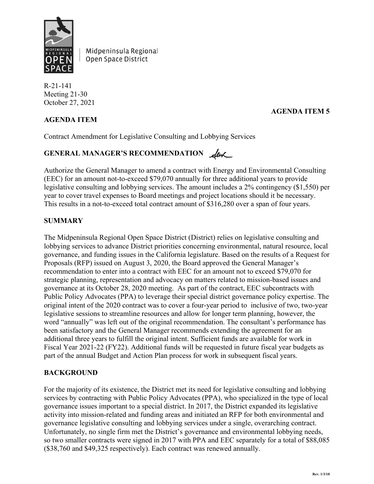

Midpeninsula Regional Open Space District

R-21-141 Meeting 21-30 October 27, 2021

# **AGENDA ITEM**

## **AGENDA ITEM 5**

Contract Amendment for Legislative Consulting and Lobbying Services

# GENERAL MANAGER'S RECOMMENDATION Level

Authorize the General Manager to amend a contract with Energy and Environmental Consulting (EEC) for an amount not-to-exceed \$79,070 annually for three additional years to provide legislative consulting and lobbying services. The amount includes a 2% contingency (\$1,550) per year to cover travel expenses to Board meetings and project locations should it be necessary. This results in a not-to-exceed total contract amount of \$316,280 over a span of four years.

### **SUMMARY**

The Midpeninsula Regional Open Space District (District) relies on legislative consulting and lobbying services to advance District priorities concerning environmental, natural resource, local governance, and funding issues in the California legislature. Based on the results of a Request for Proposals (RFP) issued on August 3, 2020, the Board approved the General Manager's recommendation to enter into a contract with EEC for an amount not to exceed \$79,070 for strategic planning, representation and advocacy on matters related to mission-based issues and governance at its October 28, 2020 meeting. As part of the contract, EEC subcontracts with Public Policy Advocates (PPA) to leverage their special district governance policy expertise. The original intent of the 2020 contract was to cover a four-year period to inclusive of two, two-year legislative sessions to streamline resources and allow for longer term planning, however, the word "annually" was left out of the original recommendation. The consultant's performance has been satisfactory and the General Manager recommends extending the agreement for an additional three years to fulfill the original intent. Sufficient funds are available for work in Fiscal Year 2021-22 (FY22). Additional funds will be requested in future fiscal year budgets as part of the annual Budget and Action Plan process for work in subsequent fiscal years.

### **BACKGROUND**

For the majority of its existence, the District met its need for legislative consulting and lobbying services by contracting with Public Policy Advocates (PPA), who specialized in the type of local governance issues important to a special district. In 2017, the District expanded its legislative activity into mission-related and funding areas and initiated an RFP for both environmental and governance legislative consulting and lobbying services under a single, overarching contract. Unfortunately, no single firm met the District's governance and environmental lobbying needs, so two smaller contracts were signed in 2017 with PPA and EEC separately for a total of \$88,085 (\$38,760 and \$49,325 respectively). Each contract was renewed annually.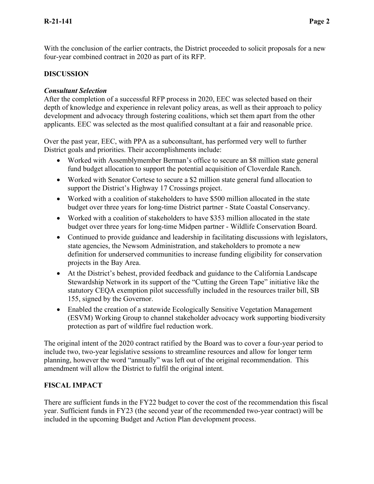With the conclusion of the earlier contracts, the District proceeded to solicit proposals for a new four-year combined contract in 2020 as part of its RFP.

# **DISCUSSION**

## *Consultant Selection*

After the completion of a successful RFP process in 2020, EEC was selected based on their depth of knowledge and experience in relevant policy areas, as well as their approach to policy development and advocacy through fostering coalitions, which set them apart from the other applicants. EEC was selected as the most qualified consultant at a fair and reasonable price.

Over the past year, EEC, with PPA as a subconsultant, has performed very well to further District goals and priorities. Their accomplishments include:

- Worked with Assemblymember Berman's office to secure an \$8 million state general fund budget allocation to support the potential acquisition of Cloverdale Ranch.
- Worked with Senator Cortese to secure a \$2 million state general fund allocation to support the District's Highway 17 Crossings project.
- Worked with a coalition of stakeholders to have \$500 million allocated in the state budget over three years for long-time District partner - State Coastal Conservancy.
- Worked with a coalition of stakeholders to have \$353 million allocated in the state budget over three years for long-time Midpen partner - Wildlife Conservation Board.
- Continued to provide guidance and leadership in facilitating discussions with legislators, state agencies, the Newsom Administration, and stakeholders to promote a new definition for underserved communities to increase funding eligibility for conservation projects in the Bay Area.
- At the District's behest, provided feedback and guidance to the California Landscape Stewardship Network in its support of the "Cutting the Green Tape" initiative like the statutory CEQA exemption pilot successfully included in the resources trailer bill, SB 155, signed by the Governor.
- Enabled the creation of a statewide Ecologically Sensitive Vegetation Management (ESVM) Working Group to channel stakeholder advocacy work supporting biodiversity protection as part of wildfire fuel reduction work.

The original intent of the 2020 contract ratified by the Board was to cover a four-year period to include two, two-year legislative sessions to streamline resources and allow for longer term planning, however the word "annually" was left out of the original recommendation. This amendment will allow the District to fulfil the original intent.

# **FISCAL IMPACT**

There are sufficient funds in the FY22 budget to cover the cost of the recommendation this fiscal year. Sufficient funds in FY23 (the second year of the recommended two-year contract) will be included in the upcoming Budget and Action Plan development process.